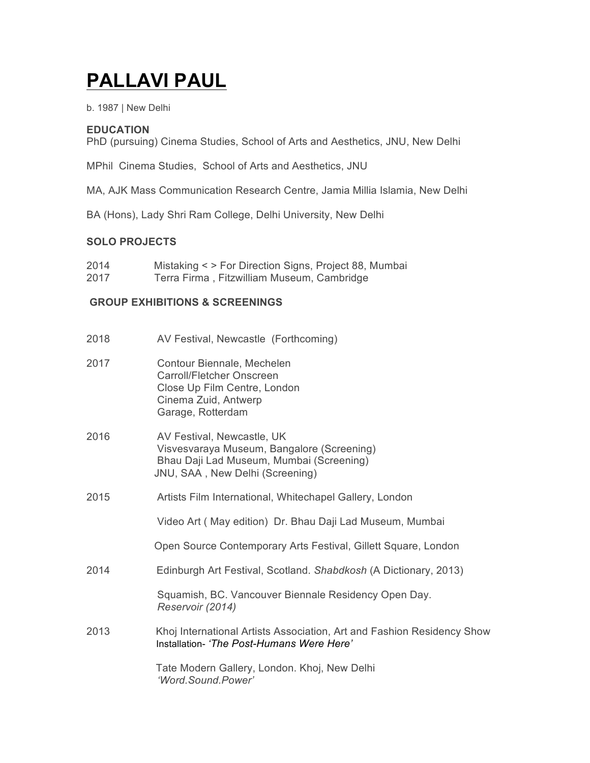# **PALLAVI PAUL**

b. 1987 | New Delhi

# **EDUCATION**

PhD (pursuing) Cinema Studies, School of Arts and Aesthetics, JNU, New Delhi

MPhil Cinema Studies, School of Arts and Aesthetics, JNU

MA, AJK Mass Communication Research Centre, Jamia Millia Islamia, New Delhi

BA (Hons), Lady Shri Ram College, Delhi University, New Delhi

## **SOLO PROJECTS**

- 2014 Mistaking < > For Direction Signs, Project 88, Mumbai
- 2017 Terra Firma , Fitzwilliam Museum, Cambridge

# **GROUP EXHIBITIONS & SCREENINGS**

| 2018 | AV Festival, Newcastle (Forthcoming)                                                                                                                    |
|------|---------------------------------------------------------------------------------------------------------------------------------------------------------|
| 2017 | Contour Biennale, Mechelen<br><b>Carroll/Fletcher Onscreen</b><br>Close Up Film Centre, London<br>Cinema Zuid, Antwerp<br>Garage, Rotterdam             |
| 2016 | AV Festival, Newcastle, UK<br>Visvesvaraya Museum, Bangalore (Screening)<br>Bhau Daji Lad Museum, Mumbai (Screening)<br>JNU, SAA, New Delhi (Screening) |
| 2015 | Artists Film International, Whitechapel Gallery, London                                                                                                 |
|      | Video Art (May edition) Dr. Bhau Daji Lad Museum, Mumbai                                                                                                |
|      | Open Source Contemporary Arts Festival, Gillett Square, London                                                                                          |
| 2014 | Edinburgh Art Festival, Scotland. Shabdkosh (A Dictionary, 2013)                                                                                        |
|      | Squamish, BC. Vancouver Biennale Residency Open Day.<br>Reservoir (2014)                                                                                |
| 2013 | Khoj International Artists Association, Art and Fashion Residency Show<br>Installation- 'The Post-Humans Were Here'                                     |
|      | Tate Modern Gallery, London. Khoj, New Delhi<br>'Word.Sound.Power'                                                                                      |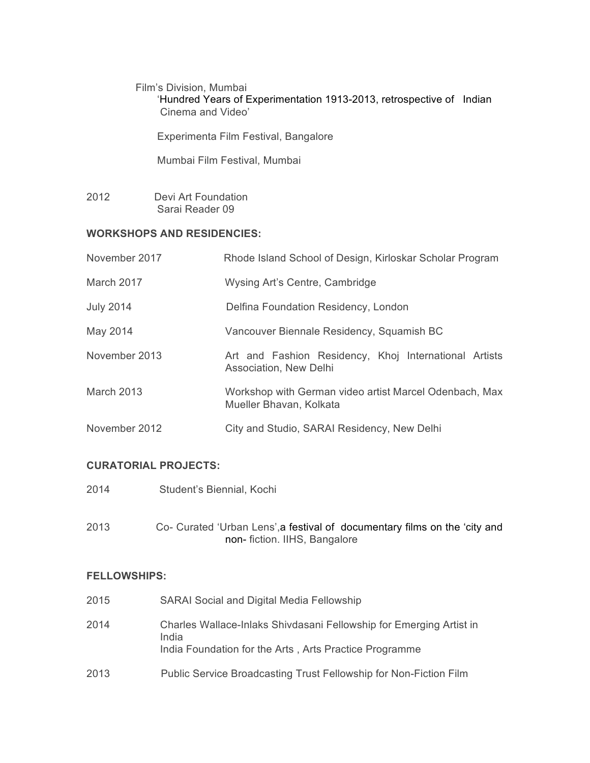Film's Division, Mumbai 'Hundred Years of Experimentation 1913-2013, retrospective of Indian Cinema and Video'

Experimenta Film Festival, Bangalore

Mumbai Film Festival, Mumbai

2012 Devi Art Foundation Sarai Reader 09

### **WORKSHOPS AND RESIDENCIES:**

| November 2017    | Rhode Island School of Design, Kirloskar Scholar Program                          |
|------------------|-----------------------------------------------------------------------------------|
| March 2017       | Wysing Art's Centre, Cambridge                                                    |
| <b>July 2014</b> | Delfina Foundation Residency, London                                              |
| May 2014         | Vancouver Biennale Residency, Squamish BC                                         |
| November 2013    | Art and Fashion Residency, Khoj International Artists<br>Association, New Delhi   |
| March 2013       | Workshop with German video artist Marcel Odenbach, Max<br>Mueller Bhavan, Kolkata |
| November 2012    | City and Studio, SARAI Residency, New Delhi                                       |

## **CURATORIAL PROJECTS:**

- 2014 Student's Biennial, Kochi
- 2013 Co- Curated 'Urban Lens',a festival of documentary films on the 'city and non- fiction. IIHS, Bangalore

#### **FELLOWSHIPS:**

| 2015 | <b>SARAI Social and Digital Media Fellowship</b>                                                                                       |
|------|----------------------------------------------------------------------------------------------------------------------------------------|
| 2014 | Charles Wallace-Inlaks Shivdasani Fellowship for Emerging Artist in<br>India<br>India Foundation for the Arts, Arts Practice Programme |
| 2013 | Public Service Broadcasting Trust Fellowship for Non-Fiction Film                                                                      |